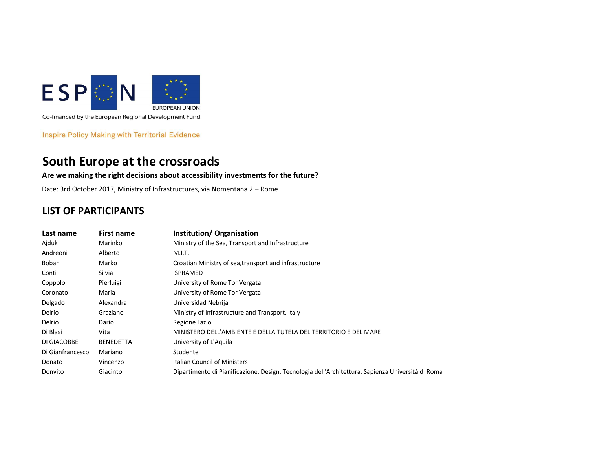

Co-financed by the European Regional Development Fund

**Inspire Policy Making with Territorial Evidence** 

## South Europe at the crossroads

## Are we making the right decisions about accessibility investments for the future?

Date: 3rd October 2017, Ministry of Infrastructures, via Nomentana 2 – Rome

## LIST OF PARTICIPANTS

| Last name        | <b>First name</b> | Institution/Organisation                                                                          |
|------------------|-------------------|---------------------------------------------------------------------------------------------------|
| Ajduk            | Marinko           | Ministry of the Sea, Transport and Infrastructure                                                 |
| Andreoni         | Alberto           | M.I.T.                                                                                            |
| Boban            | Marko             | Croatian Ministry of sea, transport and infrastructure                                            |
| Conti            | Silvia            | <b>ISPRAMED</b>                                                                                   |
| Coppolo          | Pierluigi         | University of Rome Tor Vergata                                                                    |
| Coronato         | Maria             | University of Rome Tor Vergata                                                                    |
| Delgado          | Alexandra         | Universidad Nebrija                                                                               |
| Delrio           | Graziano          | Ministry of Infrastructure and Transport, Italy                                                   |
| Delrio           | Dario             | Regione Lazio                                                                                     |
| Di Blasi         | Vita              | MINISTERO DELL'AMBIENTE E DELLA TUTELA DEL TERRITORIO E DEL MARE                                  |
| DI GIACOBBE      | <b>BENEDETTA</b>  | University of L'Aquila                                                                            |
| Di Gianfrancesco | Mariano           | Studente                                                                                          |
| Donato           | Vincenzo          | Italian Council of Ministers                                                                      |
| Donvito          | Giacinto          | Dipartimento di Pianificazione, Design, Tecnologia dell'Architettura. Sapienza Università di Roma |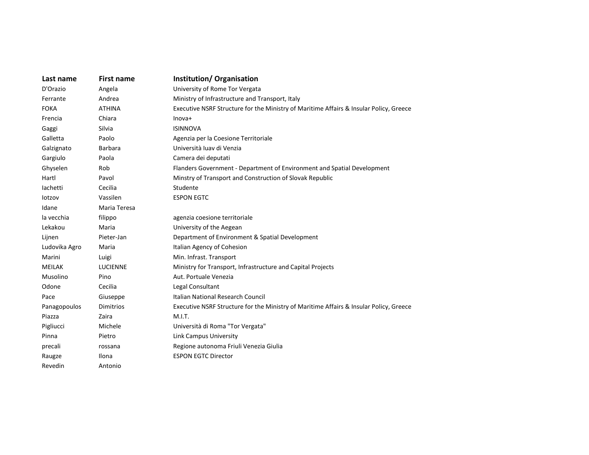| Last name     | <b>First name</b> | Institution/Organisation                                                               |
|---------------|-------------------|----------------------------------------------------------------------------------------|
| D'Orazio      | Angela            | University of Rome Tor Vergata                                                         |
| Ferrante      | Andrea            | Ministry of Infrastructure and Transport, Italy                                        |
| <b>FOKA</b>   | <b>ATHINA</b>     | Executive NSRF Structure for the Ministry of Maritime Affairs & Insular Policy, Greece |
| Frencia       | Chiara            | $Inova+$                                                                               |
| Gaggi         | Silvia            | <b>ISINNOVA</b>                                                                        |
| Galletta      | Paolo             | Agenzia per la Coesione Territoriale                                                   |
| Galzignato    | <b>Barbara</b>    | Università luav di Venzia                                                              |
| Gargiulo      | Paola             | Camera dei deputati                                                                    |
| Ghyselen      | Rob               | Flanders Government - Department of Environment and Spatial Development                |
| Hartl         | Pavol             | Minstry of Transport and Construction of Slovak Republic                               |
| lachetti      | Cecilia           | Studente                                                                               |
| lotzov        | Vassilen          | <b>ESPON EGTC</b>                                                                      |
| Idane         | Maria Teresa      |                                                                                        |
| la vecchia    | filippo           | agenzia coesione territoriale                                                          |
| Lekakou       | Maria             | University of the Aegean                                                               |
| Lijnen        | Pieter-Jan        | Department of Environment & Spatial Development                                        |
| Ludovika Agro | Maria             | Italian Agency of Cohesion                                                             |
| Marini        | Luigi             | Min. Infrast. Transport                                                                |
| <b>MEILAK</b> | <b>LUCIENNE</b>   | Ministry for Transport, Infrastructure and Capital Projects                            |
| Musolino      | Pino              | Aut. Portuale Venezia                                                                  |
| Odone         | Cecilia           | Legal Consultant                                                                       |
| Pace          | Giuseppe          | <b>Italian National Research Council</b>                                               |
| Panagopoulos  | Dimitrios         | Executive NSRF Structure for the Ministry of Maritime Affairs & Insular Policy, Greece |
| Piazza        | Zaira             | M.I.T.                                                                                 |
| Pigliucci     | Michele           | Università di Roma "Tor Vergata"                                                       |
| Pinna         | Pietro            | Link Campus University                                                                 |
| precali       | rossana           | Regione autonoma Friuli Venezia Giulia                                                 |
| Raugze        | Ilona             | <b>ESPON EGTC Director</b>                                                             |
| Revedin       | Antonio           |                                                                                        |